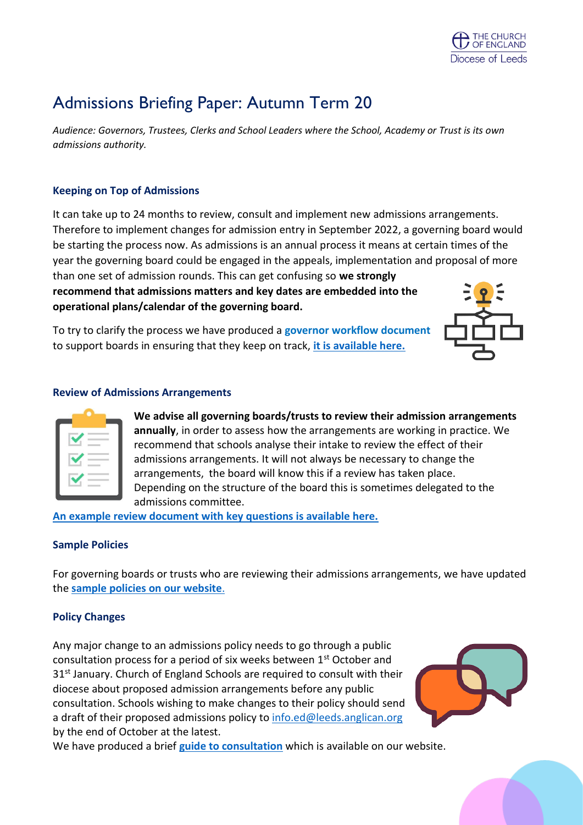

# Admissions Briefing Paper: Autumn Term 20

*Audience: Governors, Trustees, Clerks and School Leaders where the School, Academy or Trust is its own admissions authority.* 

## **Keeping on Top of Admissions**

It can take up to 24 months to review, consult and implement new admissions arrangements. Therefore to implement changes for admission entry in September 2022, a governing board would be starting the process now. As admissions is an annual process it means at certain times of the year the governing board could be engaged in the appeals, implementation and proposal of more than one set of admission rounds. This can get confusing so **we strongly recommend that admissions matters and key dates are embedded into the**

**operational plans/calendar of the governing board.**

To try to clarify the process we have produced a **governor workflow document** to support boards in ensuring that they keep on track, **it [is available here.](https://www.leeds.anglican.org/sites/default/files/files/Governing%20Board%20Workflow-%20Admissions%20.pdf)**



#### **Review of Admissions Arrangements**

**We advise all governing boards/trusts to review their admission arrangements annually**, in order to assess how the arrangements are working in practice. We recommend that schools analyse their intake to review the effect of their admissions arrangements. It will not always be necessary to change the arrangements, the board will know this if a review has taken place. Depending on the structure of the board this is sometimes delegated to the admissions committee.

**[An example review document with key questions is available here.](https://www.leeds.anglican.org/sites/default/files/files/Annual%20Review%20of%20Admissions%20Arrangements.pdf)**

### **Sample Policies**

For governing boards or trusts who are reviewing their admissions arrangements, we have updated the **sample [policies on our website](https://www.leeds.anglican.org/sites/default/files/files/Admissions%20Arrangements-%20Sample%20Policies%202020%20v2.pdf)**.

### **Policy Changes**

Any major change to an admissions policy needs to go through a public consultation process for a period of six weeks between 1<sup>st</sup> October and 31<sup>st</sup> January. Church of England Schools are required to consult with their diocese about proposed admission arrangements before any public consultation. Schools wishing to make changes to their policy should send a draft of their proposed admissions policy to [info.ed@leeds.anglican.org](mailto:info.ed@leeds.anglican.org) by the end of October at the latest.



We have produced a brief **[guide to consultation](https://www.leeds.anglican.org/sites/default/files/files/Admissions%20Public%20Consultation%20Process.pdf)** which is available on our website.